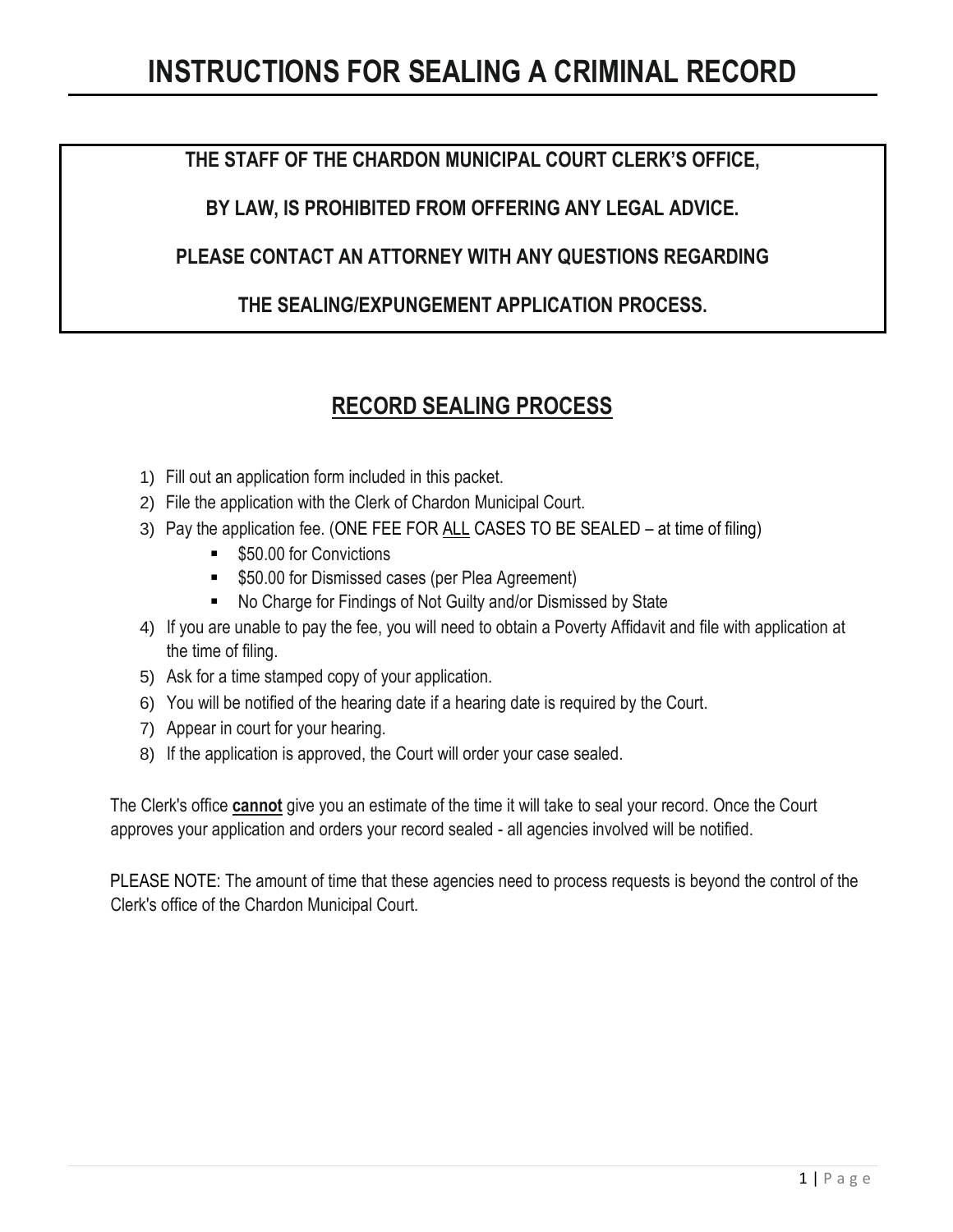### **THE STAFF OF THE CHARDON MUNICIPAL COURT CLERK'S OFFICE,**

**BY LAW, IS PROHIBITED FROM OFFERING ANY LEGAL ADVICE.** 

### **PLEASE CONTACT AN ATTORNEY WITH ANY QUESTIONS REGARDING**

### **THE SEALING/EXPUNGEMENT APPLICATION PROCESS.**

### **RECORD SEALING PROCESS**

- 1) Fill out an application form included in this packet.
- 2) File the application with the Clerk of Chardon Municipal Court.
- 3) Pay the application fee. (ONE FEE FOR ALL CASES TO BE SEALED at time of filing)
	- \$50.00 for Convictions
	- **550.00 for Dismissed cases (per Plea Agreement)**
	- No Charge for Findings of Not Guilty and/or Dismissed by State
- 4) If you are unable to pay the fee, you will need to obtain a Poverty Affidavit and file with application at the time of filing.
- 5) Ask for a time stamped copy of your application.
- 6) You will be notified of the hearing date if a hearing date is required by the Court.
- 7) Appear in court for your hearing.
- 8) If the application is approved, the Court will order your case sealed.

The Clerk's office **cannot** give you an estimate of the time it will take to seal your record. Once the Court approves your application and orders your record sealed - all agencies involved will be notified.

PLEASE NOTE: The amount of time that these agencies need to process requests is beyond the control of the Clerk's office of the Chardon Municipal Court.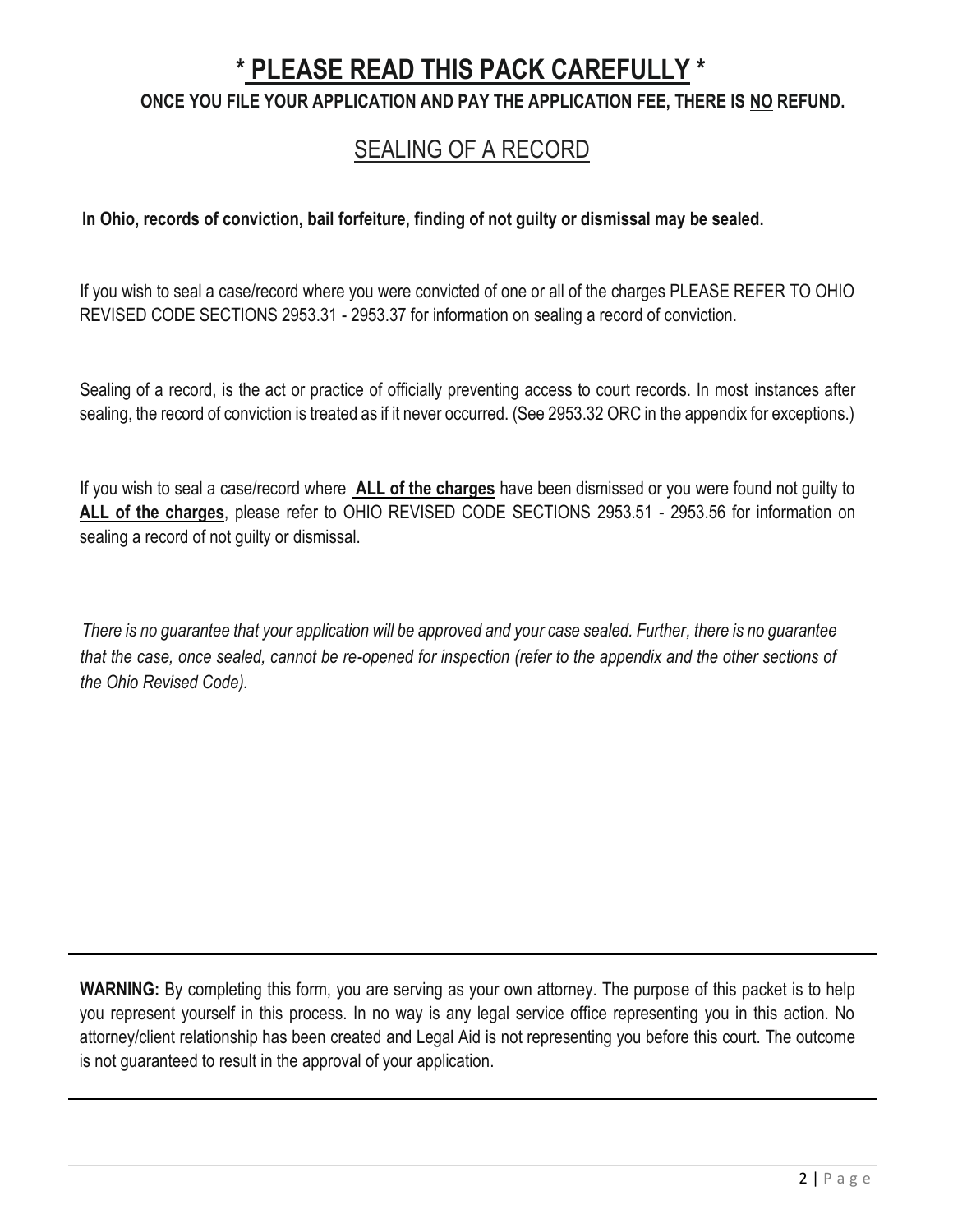# **\* PLEASE READ THIS PACK CAREFULLY \***

### **ONCE YOU FILE YOUR APPLICATION AND PAY THE APPLICATION FEE, THERE IS NO REFUND.**

## SEALING OF A RECORD

#### **In Ohio, records of conviction, bail forfeiture, finding of not guilty or dismissal may be sealed.**

If you wish to seal a case/record where you were convicted of one or all of the charges PLEASE REFER TO OHIO REVISED CODE SECTIONS 2953.31 - 2953.37 for information on sealing a record of conviction.

Sealing of a record, is the act or practice of officially preventing access to court records. In most instances after sealing, the record of conviction is treated as if it never occurred. (See 2953.32 ORC in the appendix for exceptions.)

If you wish to seal a case/record where **ALL of the charges** have been dismissed or you were found not guilty to **ALL of the charges**, please refer to OHIO REVISED CODE SECTIONS 2953.51 - 2953.56 for information on sealing a record of not guilty or dismissal.

*There is no guarantee that your application will be approved and your case sealed. Further, there is no guarantee that the case, once sealed, cannot be re-opened for inspection (refer to the appendix and the other sections of the Ohio Revised Code).*

**WARNING:** By completing this form, you are serving as your own attorney. The purpose of this packet is to help you represent yourself in this process. In no way is any legal service office representing you in this action. No attorney/client relationship has been created and Legal Aid is not representing you before this court. The outcome is not guaranteed to result in the approval of your application.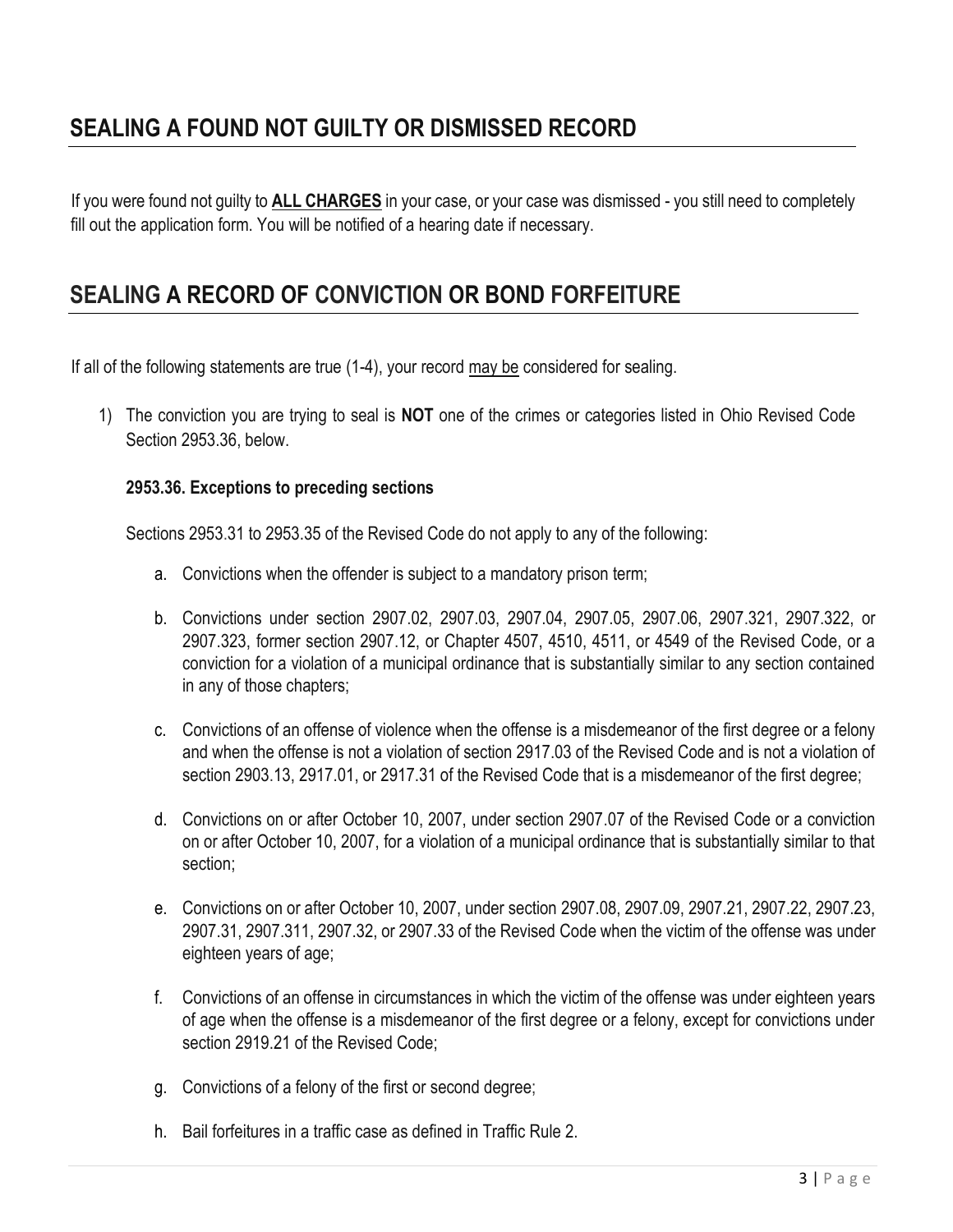## **SEALING A FOUND NOT GUILTY OR DISMISSED RECORD**

If you were found not guilty to **ALL CHARGES** in your case, or your case was dismissed - you still need to completely fill out the application form. You will be notified of a hearing date if necessary.

## **SEALING A RECORD OF CONVICTION OR BOND FORFEITURE**

If all of the following statements are true (1-4), your record may be considered for sealing.

1) The conviction you are trying to seal is **NOT** one of the crimes or categories listed in Ohio Revised Code Section 2953.36, below.

#### **2953.36. Exceptions to preceding sections**

Sections 2953.31 to 2953.35 of the Revised Code do not apply to any of the following:

- a. Convictions when the offender is subject to a mandatory prison term;
- b. Convictions under section 2907.02, 2907.03, 2907.04, 2907.05, 2907.06, 2907.321, 2907.322, or 2907.323, former section 2907.12, or Chapter 4507, 4510, 4511, or 4549 of the Revised Code, or a conviction for a violation of a municipal ordinance that is substantially similar to any section contained in any of those chapters;
- c. Convictions of an offense of violence when the offense is a misdemeanor of the first degree or a felony and when the offense is not a violation of section 2917.03 of the Revised Code and is not a violation of section 2903.13, 2917.01, or 2917.31 of the Revised Code that is a misdemeanor of the first degree;
- d. Convictions on or after October 10, 2007, under section 2907.07 of the Revised Code or a conviction on or after October 10, 2007, for a violation of a municipal ordinance that is substantially similar to that section;
- e. Convictions on or after October 10, 2007, under section 2907.08, 2907.09, 2907.21, 2907.22, 2907.23, 2907.31, 2907.311, 2907.32, or 2907.33 of the Revised Code when the victim of the offense was under eighteen years of age;
- f. Convictions of an offense in circumstances in which the victim of the offense was under eighteen years of age when the offense is a misdemeanor of the first degree or a felony, except for convictions under section 2919.21 of the Revised Code;
- g. Convictions of a felony of the first or second degree;
- h. Bail forfeitures in a traffic case as defined in Traffic Rule 2.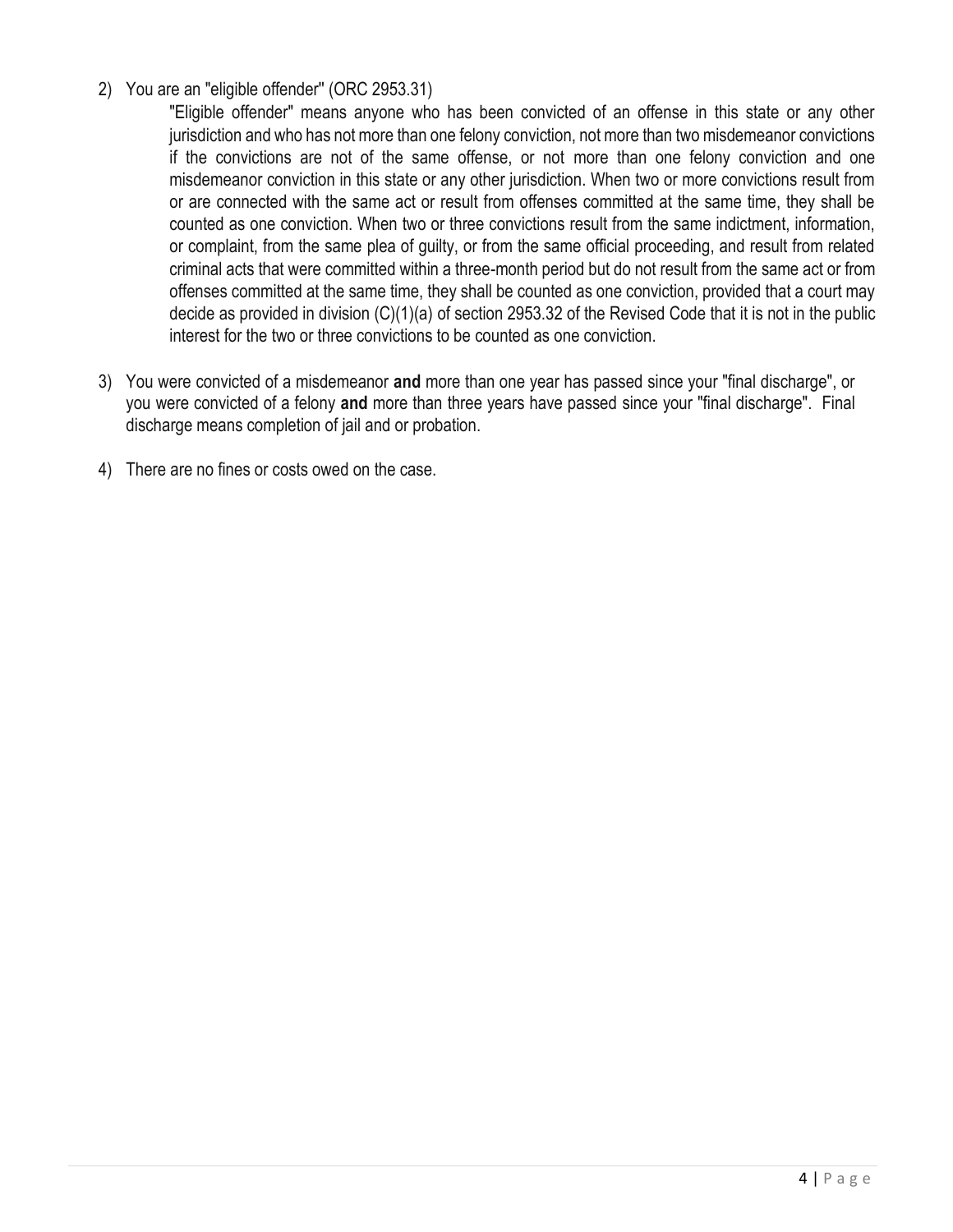#### 2) You are an "eligible offender'' (ORC 2953.31)

"Eligible offender" means anyone who has been convicted of an offense in this state or any other jurisdiction and who has not more than one felony conviction, not more than two misdemeanor convictions if the convictions are not of the same offense, or not more than one felony conviction and one misdemeanor conviction in this state or any other jurisdiction. When two or more convictions result from or are connected with the same act or result from offenses committed at the same time, they shall be counted as one conviction. When two or three convictions result from the same indictment, information, or complaint, from the same plea of guilty, or from the same official proceeding, and result from related criminal acts that were committed within a three-month period but do not result from the same act or from offenses committed at the same time, they shall be counted as one conviction, provided that a court may decide as provided in division (C)(1)(a) of section 2953.32 of the Revised Code that it is not in the public interest for the two or three convictions to be counted as one conviction.

- 3) You were convicted of a misdemeanor **and** more than one year has passed since your "final discharge", or you were convicted of a felony **and** more than three years have passed since your "final discharge". Final discharge means completion of jail and or probation.
- 4) There are no fines or costs owed on the case.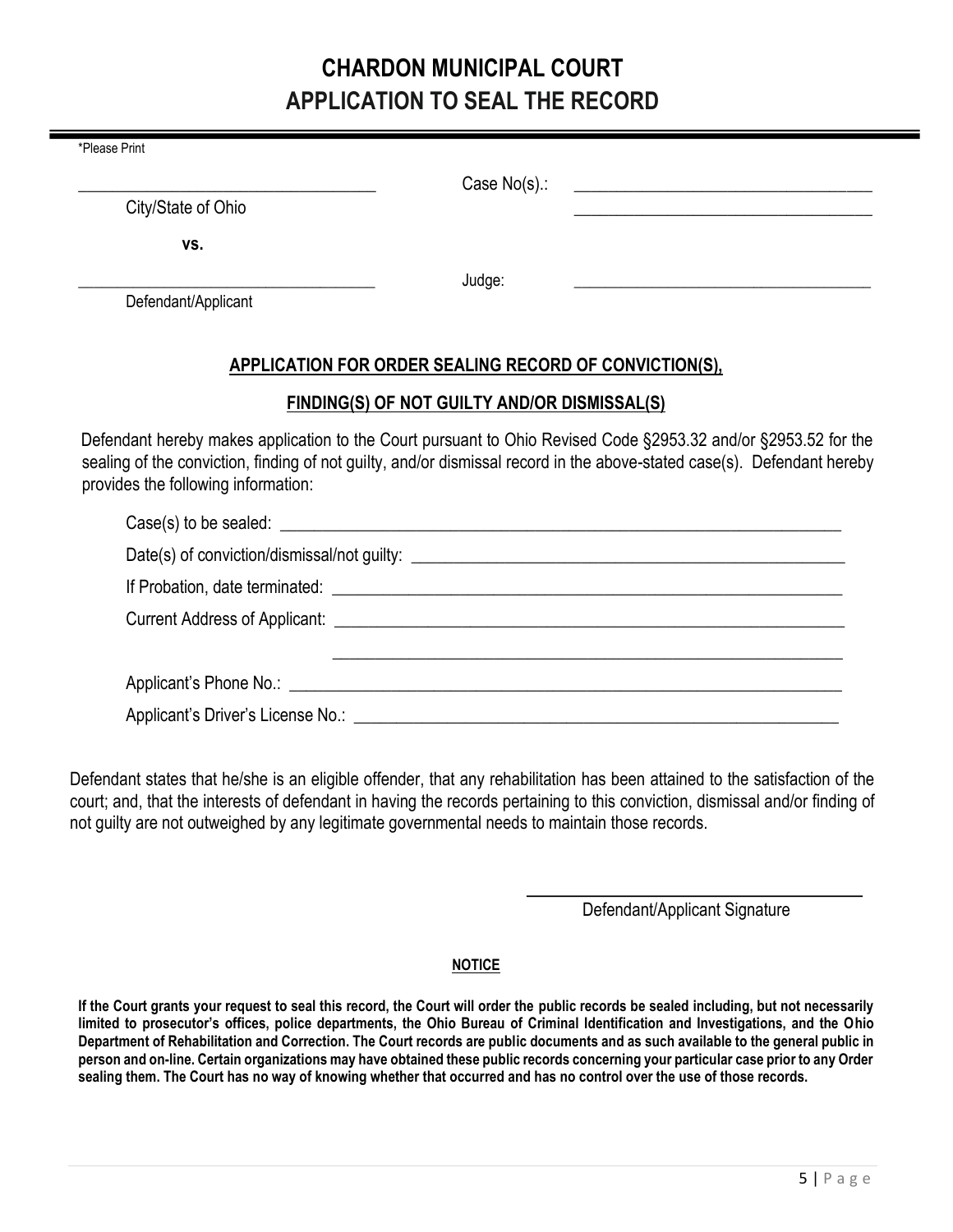## **CHARDON MUNICIPAL COURT APPLICATION TO SEAL THE RECORD**

| *Please Print                       |                                                        |                                                                                                                                                                                                                                           |
|-------------------------------------|--------------------------------------------------------|-------------------------------------------------------------------------------------------------------------------------------------------------------------------------------------------------------------------------------------------|
|                                     | Case $No(s)$ .:                                        | <u> Alexandria de la contrada de la contrada de la contrada de la contrada de la contrada de la contrada de la c</u>                                                                                                                      |
| City/State of Ohio                  |                                                        |                                                                                                                                                                                                                                           |
| VS.                                 |                                                        |                                                                                                                                                                                                                                           |
|                                     | Judge:                                                 |                                                                                                                                                                                                                                           |
| Defendant/Applicant                 |                                                        |                                                                                                                                                                                                                                           |
|                                     | APPLICATION FOR ORDER SEALING RECORD OF CONVICTION(S), |                                                                                                                                                                                                                                           |
|                                     | FINDING(S) OF NOT GUILTY AND/OR DISMISSAL(S)           |                                                                                                                                                                                                                                           |
| provides the following information: |                                                        | Defendant hereby makes application to the Court pursuant to Ohio Revised Code §2953.32 and/or §2953.52 for the<br>sealing of the conviction, finding of not guilty, and/or dismissal record in the above-stated case(s). Defendant hereby |
|                                     |                                                        |                                                                                                                                                                                                                                           |
|                                     |                                                        |                                                                                                                                                                                                                                           |
|                                     |                                                        |                                                                                                                                                                                                                                           |
|                                     |                                                        |                                                                                                                                                                                                                                           |
|                                     |                                                        |                                                                                                                                                                                                                                           |

| Applicant's Phone No.:            |  |
|-----------------------------------|--|
| Applicant's Driver's License No.: |  |

Defendant states that he/she is an eligible offender, that any rehabilitation has been attained to the satisfaction of the court; and, that the interests of defendant in having the records pertaining to this conviction, dismissal and/or finding of not guilty are not outweighed by any legitimate governmental needs to maintain those records.

Defendant/Applicant Signature

#### **NOTICE**

**If the Court grants your request to seal this record, the Court will order the public records be sealed including, but not necessarily limited to prosecutor's offices, police departments, the Ohio Bureau of Criminal Identification and Investigations, and the Ohio Department of Rehabilitation and Correction. The Court records are public documents and as such available to the general public in person and on-line. Certain organizations may have obtained these public records concerning your particular case prior to any Order sealing them. The Court has no way of knowing whether that occurred and has no control over the use of those records.**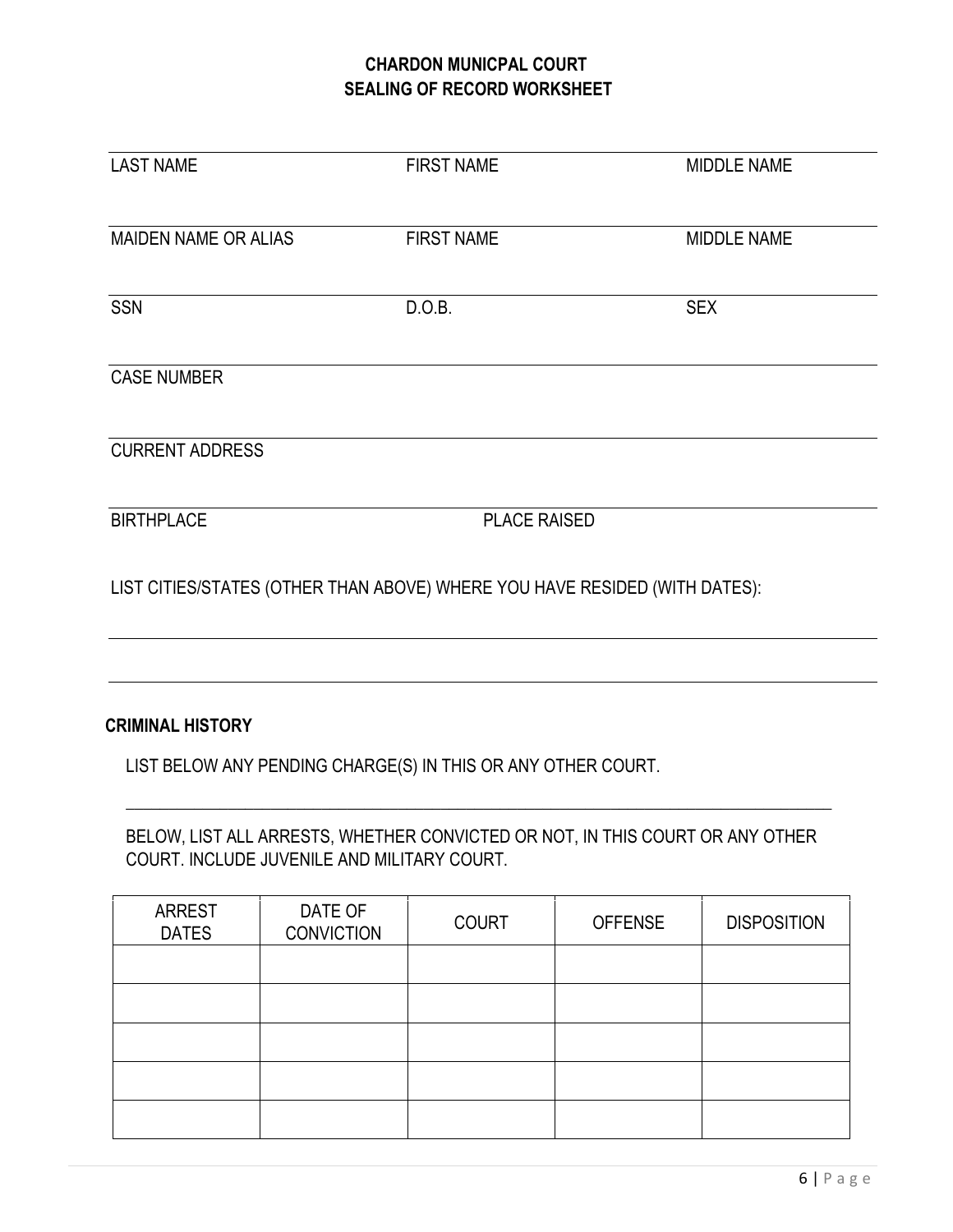#### **CHARDON MUNICPAL COURT SEALING OF RECORD WORKSHEET**

| <b>LAST NAME</b>       | <b>FIRST NAME</b>                                                          | <b>MIDDLE NAME</b> |
|------------------------|----------------------------------------------------------------------------|--------------------|
| MAIDEN NAME OR ALIAS   | <b>FIRST NAME</b>                                                          | <b>MIDDLE NAME</b> |
| <b>SSN</b>             | D.O.B.                                                                     | <b>SEX</b>         |
| <b>CASE NUMBER</b>     |                                                                            |                    |
| <b>CURRENT ADDRESS</b> |                                                                            |                    |
| <b>BIRTHPLACE</b>      | <b>PLACE RAISED</b>                                                        |                    |
|                        | LIST CITIES/STATES (OTHER THAN ABOVE) WHERE YOU HAVE RESIDED (WITH DATES): |                    |
|                        |                                                                            |                    |
|                        |                                                                            |                    |

#### **CRIMINAL HISTORY**

LIST BELOW ANY PENDING CHARGE(S) IN THIS OR ANY OTHER COURT.

BELOW, LIST ALL ARRESTS, WHETHER CONVICTED OR NOT, IN THIS COURT OR ANY OTHER COURT. INCLUDE JUVENILE AND MILITARY COURT.

 $\_$  , and the set of the set of the set of the set of the set of the set of the set of the set of the set of the set of the set of the set of the set of the set of the set of the set of the set of the set of the set of th

| <b>ARREST</b><br><b>DATES</b> | DATE OF<br><b>CONVICTION</b> | <b>COURT</b> | <b>OFFENSE</b> | <b>DISPOSITION</b> |
|-------------------------------|------------------------------|--------------|----------------|--------------------|
|                               |                              |              |                |                    |
|                               |                              |              |                |                    |
|                               |                              |              |                |                    |
|                               |                              |              |                |                    |
|                               |                              |              |                |                    |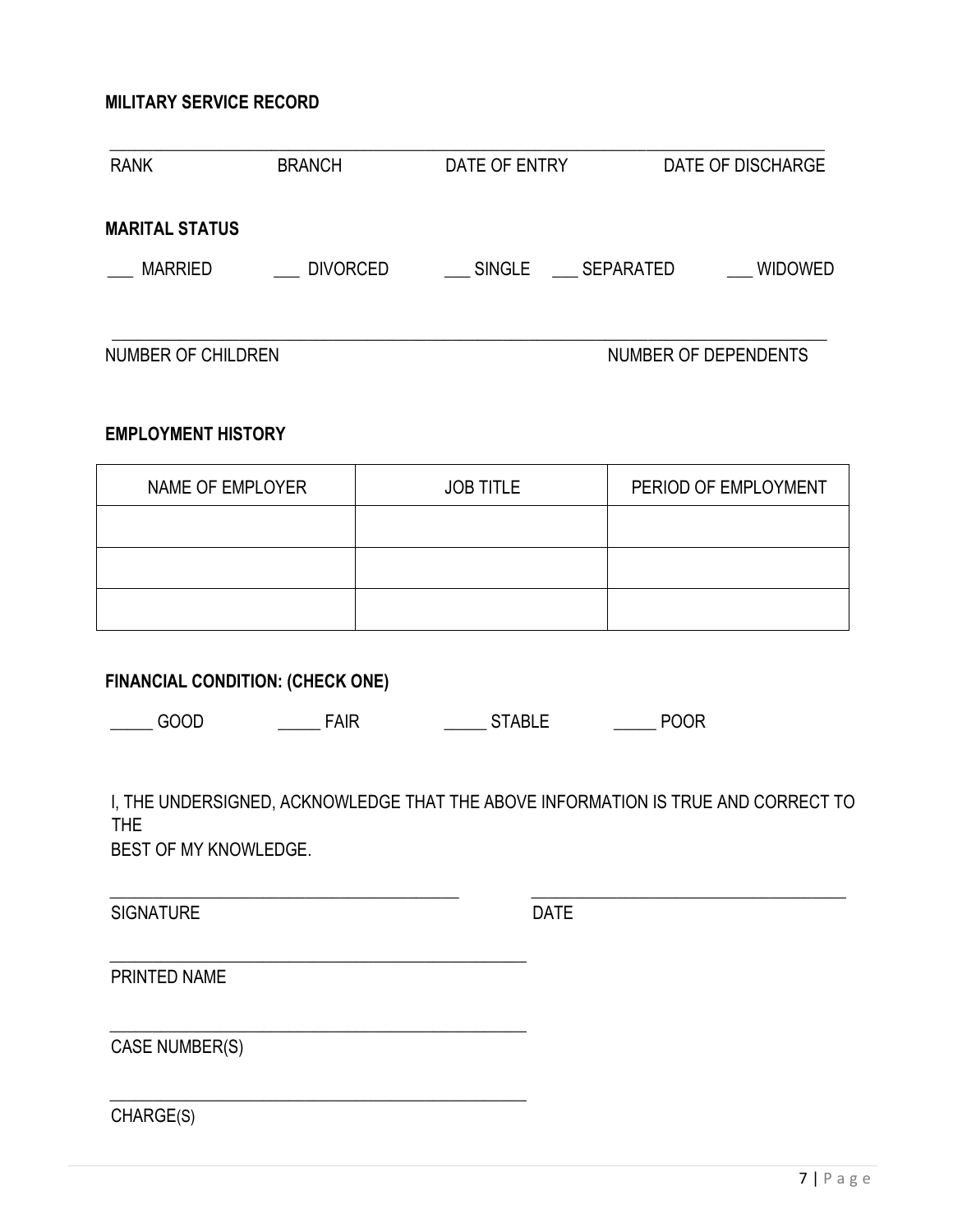#### **MILITARY SERVICE RECORD**

| <b>RANK</b>           | <b>BRANCH</b>   | DATE OF ENTRY       | DATE OF DISCHARGE |
|-----------------------|-----------------|---------------------|-------------------|
| <b>MARITAL STATUS</b> |                 |                     |                   |
| MARRIED               | <b>DIVORCED</b> | SINGLE<br>SEPARATED | <b>WIDOWED</b>    |

\_\_\_\_\_\_\_\_\_\_\_\_\_\_\_\_\_\_\_\_\_\_\_\_\_\_\_\_\_\_\_\_\_\_\_\_\_\_\_\_\_\_\_\_\_\_\_\_\_\_\_\_\_\_\_\_\_\_\_\_\_\_\_\_\_\_\_\_\_\_\_\_\_\_\_\_\_\_\_\_\_\_\_\_

NUMBER OF CHILDREN NUMBER OF DEPENDENTS

#### **EMPLOYMENT HISTORY**

| NAME OF EMPLOYER | <b>JOB TITLE</b> | PERIOD OF EMPLOYMENT |
|------------------|------------------|----------------------|
|                  |                  |                      |
|                  |                  |                      |
|                  |                  |                      |

#### **FINANCIAL CONDITION: (CHECK ONE)**

\_\_\_\_\_\_\_\_\_\_\_\_\_\_\_\_\_\_\_\_\_\_\_\_\_\_\_\_\_\_\_\_\_\_\_\_\_\_\_\_\_\_\_\_\_\_\_\_\_

\_\_\_\_\_\_\_\_\_\_\_\_\_\_\_\_\_\_\_\_\_\_\_\_\_\_\_\_\_\_\_\_\_\_\_\_\_\_\_\_\_\_\_\_\_\_\_\_\_

\_\_\_\_\_\_\_\_\_\_\_\_\_\_\_\_\_\_\_\_\_\_\_\_\_\_\_\_\_\_\_\_\_\_\_\_\_\_\_\_\_\_\_\_\_\_\_\_\_

| ----<br>М<br>п. | $\mathbf{v}$ | D<br>$\mathbf{r}$ |  |
|-----------------|--------------|-------------------|--|
|-----------------|--------------|-------------------|--|

I, THE UNDERSIGNED, ACKNOWLEDGE THAT THE ABOVE INFORMATION IS TRUE AND CORRECT TO THE

\_\_\_\_\_\_\_\_\_\_\_\_\_\_\_\_\_\_\_\_\_\_\_\_\_\_\_\_\_\_\_\_\_\_\_\_\_\_\_\_\_ \_\_\_\_\_\_\_\_\_\_\_\_\_\_\_\_\_\_\_\_\_\_\_\_\_\_\_\_\_\_\_\_\_\_\_\_\_

BEST OF MY KNOWLEDGE.

SIGNATURE DATE

PRINTED NAME

CASE NUMBER(S)

CHARGE(S)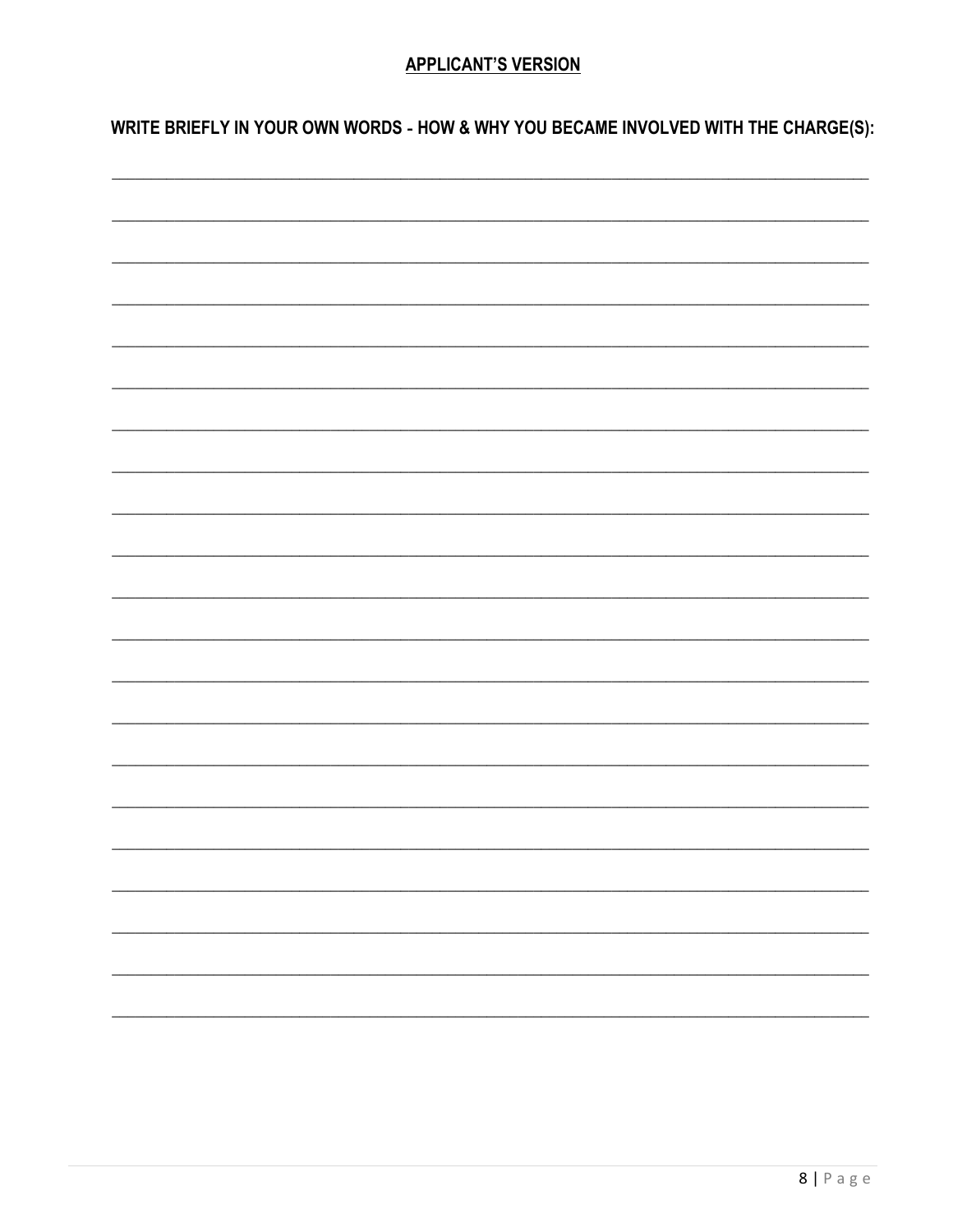#### **APPLICANT'S VERSION**

WRITE BRIEFLY IN YOUR OWN WORDS - HOW & WHY YOU BECAME INVOLVED WITH THE CHARGE(S):